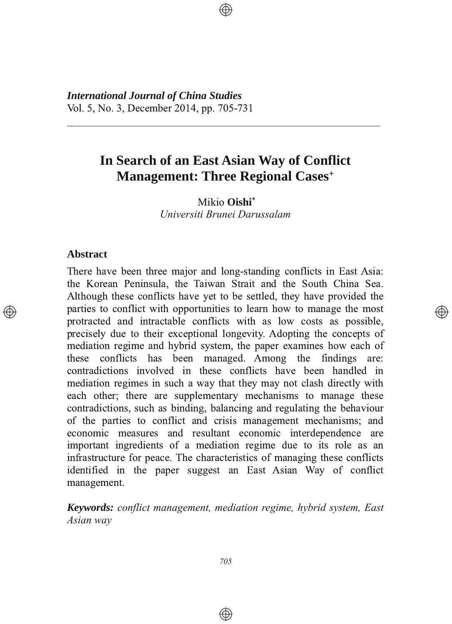*International Journal of China Studies* Vol. 5, No. 3, December 2014, pp. 705-731

# **In Search of an East Asian Way of Conflict Management: Three Regional Cases+**

3333333333333333333333333333333333333333333333333333333333

Mikio Oishi<sup>\*</sup> *Universiti Brunei Darussalam*

### **Abstract**

There have been three major and long-standing conflicts in East Asia: the Korean Peninsula, the Taiwan Strait and the South China Sea. Although these conflicts have yet to be settled, they have provided the parties to conflict with opportunities to learn how to manage the most protracted and intractable conflicts with as low costs as possible, precisely due to their exceptional longevity. Adopting the concepts of mediation regime and hybrid system, the paper examines how each of these conflicts has been managed. Among the findings are: contradictions involved in these conflicts have been handled in mediation regimes in such a way that they may not clash directly with each other; there are supplementary mechanisms to manage these contradictions, such as binding, balancing and regulating the behaviour of the parties to conflict and crisis management mechanisms; and economic measures and resultant economic interdependence are important ingredients of a mediation regime due to its role as an infrastructure for peace. The characteristics of managing these conflicts identified in the paper suggest an East Asian Way of conflict management.

</u>

*Keywords: conflict management, mediation regime, hybrid system, East Asian way*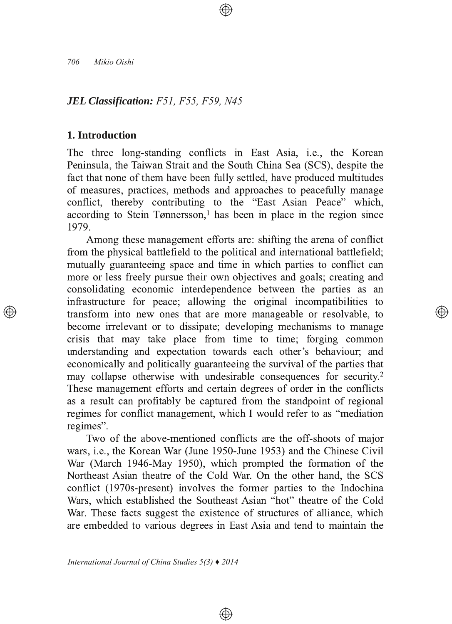### *JEL Classification: F51, F55, F59, N45*

## **1. Introduction**

The three long-standing conflicts in East Asia, i.e., the Korean Peninsula, the Taiwan Strait and the South China Sea (SCS), despite the fact that none of them have been fully settled, have produced multitudes of measures, practices, methods and approaches to peacefully manage conflict, thereby contributing to the "East Asian Peace" which, according to Stein Tønnersson,<sup>1</sup> has been in place in the region since <u>1979.</u>

Among these management efforts are: shifting the arena of conflict from the physical battlefield to the political and international battlefield; mutually guaranteeing space and time in which parties to conflict can more or less freely pursue their own objectives and goals; creating and consolidating economic interdependence between the parties as an infrastructure for peace; allowing the original incompatibilities to transform into new ones that are more manageable or resolvable, to become irrelevant or to dissipate; developing mechanisms to manage crisis that may take place from time to time; forging common understanding and expectation towards each other's behaviour; and economically and politically guaranteeing the survival of the parties that may collapse otherwise with undesirable consequences for security.<sup>2</sup> These management efforts and certain degrees of order in the conflicts as a result can profitably be captured from the standpoint of regional regimes for conflict management, which I would refer to as "mediation" regimes".

Two of the above-mentioned conflicts are the off-shoots of major wars, i.e., the Korean War (June 1950-June 1953) and the Chinese Civil War (March 1946-May 1950), which prompted the formation of the Northeast Asian theatre of the Cold War. On the other hand, the SCS conflict (1970s-present) involves the former parties to the Indochina Wars, which established the Southeast Asian "hot" theatre of the Cold War. These facts suggest the existence of structures of alliance, which are embedded to various degrees in East Asia and tend to maintain the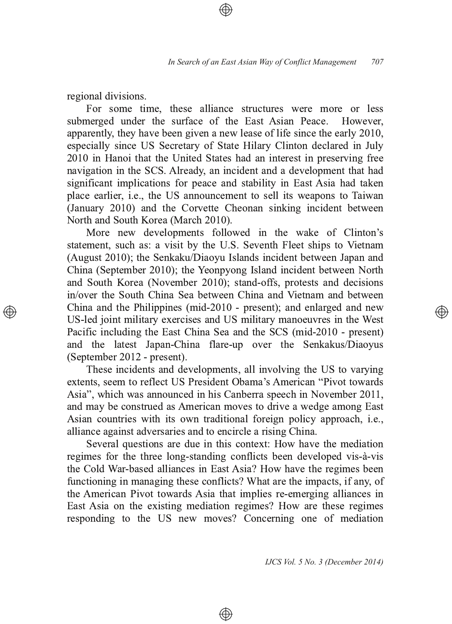regional divisions.

For some time, these alliance structures were more or less submerged under the surface of the East Asian Peace. However apparently, they have been given a new lease of life since the early 2010, especially since US Secretary of State Hilary Clinton declared in July 2010 in Hanoi that the United States had an interest in preserving free navigation in the SCS. Already, an incident and a development that had significant implications for peace and stability in East Asia had taken place earlier, i.e., the US announcement to sell its weapons to Taiwan (January 2010) and the Corvette Cheonan sinking incident between North and South Korea (March 2010).

More new developments followed in the wake of Clinton's statement, such as: a visit by the U.S. Seventh Fleet ships to Vietnam (August 2010); the Senkaku/Diaoyu Islands incident between Japan and China (September 2010); the Yeonpyong Island incident between North and South Korea (November 2010); stand-offs, protests and decisions in/over the South China Sea between China and Vietnam and between China and the Philippines (mid-2010 - present); and enlarged and new US-led joint military exercises and US military manoeuvres in the West Pacific including the East China Sea and the SCS (mid-2010 - present) and the latest Japan-China flare-up over the Senkakus/Diaoyus (September 2012 - present).

These incidents and developments, all involving the US to varying extents, seem to reflect US President Obama's American "Pivot towards" Asia", which was announced in his Canberra speech in November 2011, and may be construed as American moves to drive a wedge among East Asian countries with its own traditional foreign policy approach, *i.e.*, alliance against adversaries and to encircle a rising China.

Several questions are due in this context: How have the mediation regimes for the three long-standing conflicts been developed vis-à-vis the Cold War-based alliances in East Asia? How have the regimes been functioning in managing these conflicts? What are the impacts, if any, of the American Pivot towards Asia that implies re-emerging alliances in East Asia on the existing mediation regimes? How are these regimes responding to the US new moves? Concerning one of mediation

⊕

IJCS Vol. 5 No. 3 (December 2014)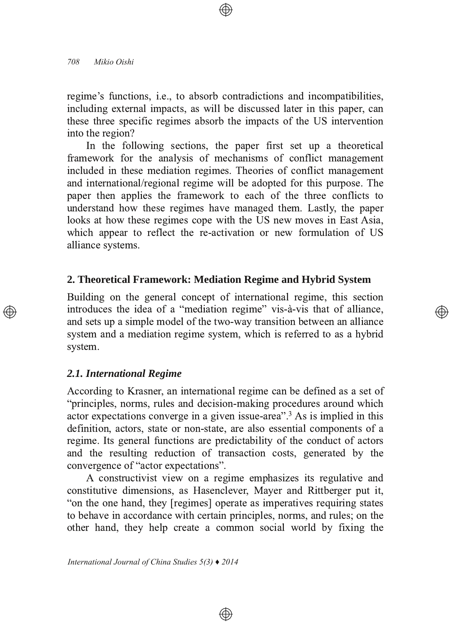regime's functions, *i.e.*, to absorb contradictions and incompatibilities, including external impacts, as will be discussed later in this paper, can these three specific regimes absorb the impacts of the US intervention into the region?

In the following sections, the paper first set up a theoretical framework for the analysis of mechanisms of conflict management included in these mediation regimes. Theories of conflict management and international/regional regime will be adopted for this purpose. The paper then applies the framework to each of the three conflicts to understand how these regimes have managed them. Lastly, the paper looks at how these regimes cope with the US new moves in East Asia, which appear to reflect the re-activation or new formulation of US alliance systems.

### **2. Theoretical Framework: Mediation Regime and Hybrid System**

Building on the general concept of international regime, this section introduces the idea of a "mediation regime" vis-à-vis that of alliance, and sets up a simple model of the two-way transition between an alliance system and a mediation regime system, which is referred to as a hybrid system.

### *2.1. International Regime*

According to Krasner, an international regime can be defined as a set of "principles, norms, rules and decision-making procedures around which actor expectations converge in a given issue-area<sup> $\cdot$ ,  $\cdot$   $\cdot$  As is implied in this</sup> definition, actors, state or non-state, are also essential components of a regime. Its general functions are predictability of the conduct of actors and the resulting reduction of transaction costs, generated by the convergence of "actor expectations".

A constructivist view on a regime emphasizes its regulative and constitutive dimensions, as Hasenclever, Mayer and Rittberger put it, " on the one hand, they [regimes] operate as imperatives requiring states to behave in accordance with certain principles, norms, and rules; on the other hand, they help create a common social world by fixing the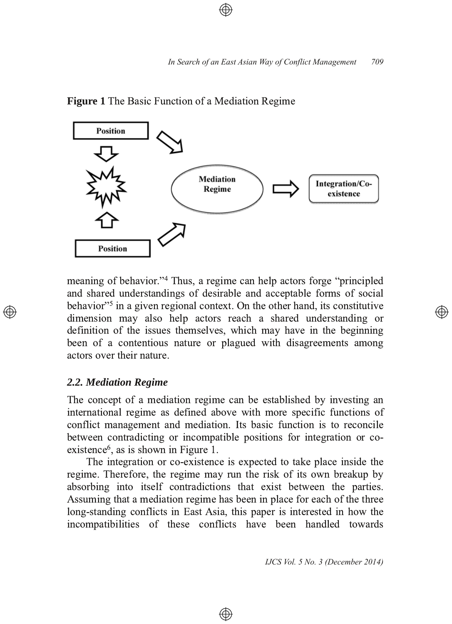

### **Figure 1** The Basic Function of a Mediation Regime

meaning of behavior."<sup>4</sup> Thus, a regime can help actors forge "principled" and shared understandings of desirable and acceptable forms of social behavior"<sup>5</sup> in a given regional context. On the other hand, its constitutive dimension may also help actors reach a shared understanding or definition of the issues themselves, which may have in the beginning been of a contentious nature or plagued with disagreements among actors over their nature.

### *2.2. Mediation Regime*

The concept of a mediation regime can be established by investing an international regime as defined above with more specific functions of conflict management and mediation. Its basic function is to reconcile between contradicting or incompatible positions for integration or co $ext{extence}^6$ , as is shown in Figure 1.

The integration or co-existence is expected to take place inside the regime. Therefore, the regime may run the risk of its own breakup by absorbing into itself contradictions that exist between the parties. Assuming that a mediation regime has been in place for each of the three long-standing conflicts in East Asia, this paper is interested in how the incompatibilities of these conflicts have been handled towards

⊕

*IJCS Vol. 5 No. 3 (December 2014)*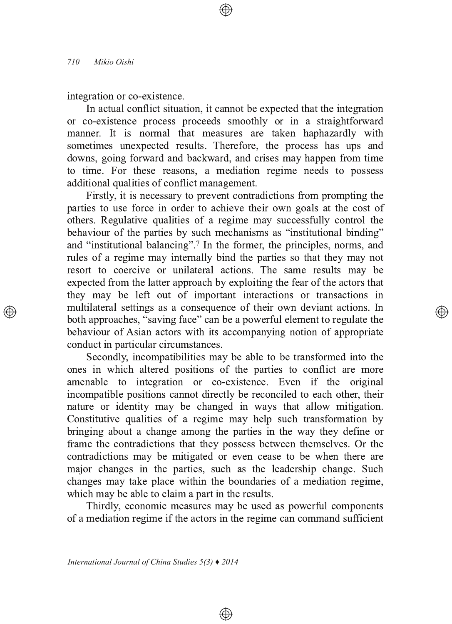integration or co-existence.

In actual conflict situation, it cannot be expected that the integration or co-existence process proceeds smoothly or in a straightforward manner. It is normal that measures are taken haphazardly with sometimes unexpected results. Therefore, the process has ups and downs, going forward and backward, and crises may happen from time to time. For these reasons, a mediation regime needs to possess additional qualities of conflict management.

Firstly, it is necessary to prevent contradictions from prompting the parties to use force in order to achieve their own goals at the cost of others. Regulative qualities of a regime may successfully control the behaviour of the parties by such mechanisms as "institutional binding" and "institutional balancing".<sup>7</sup> In the former, the principles, norms, and rules of a regime may internally bind the parties so that they may not resort to coercive or unilateral actions. The same results may be expected from the latter approach by exploiting the fear of the actors that they may be left out of important interactions or transactions in multilateral settings as a consequence of their own deviant actions. In both approaches, "saving face" can be a powerful element to regulate the behaviour of Asian actors with its accompanying notion of appropriate conduct in particular circumstances.

Secondly, incompatibilities may be able to be transformed into the ones in which altered positions of the parties to conflict are more amenable to integration or co-existence. Even if the original incompatible positions cannot directly be reconciled to each other, their nature or identity may be changed in ways that allow mitigation. Constitutive qualities of a regime may help such transformation by bringing about a change among the parties in the way they define or frame the contradictions that they possess between themselves. Or the contradictions may be mitigated or even cease to be when there are major changes in the parties, such as the leadership change. Such changes may take place within the boundaries of a mediation regime, which may be able to claim a part in the results.

Thirdly, economic measures may be used as powerful components of a mediation regime if the actors in the regime can command sufficient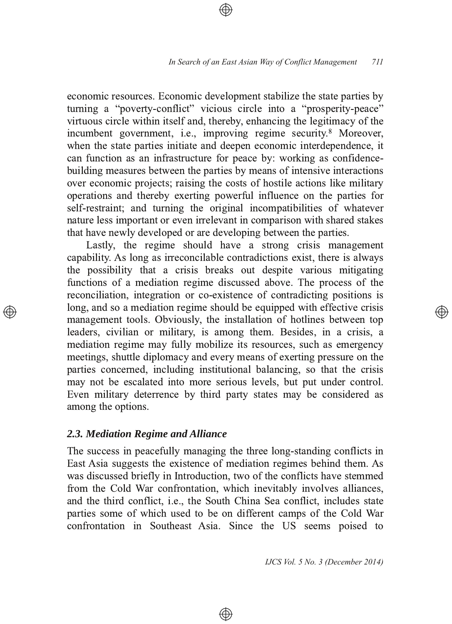economic resources. Economic development stabilize the state parties by turning a "poverty-conflict" vicious circle into a "prosperity-peace" virtuous circle within itself and, thereby, enhancing the legitimacy of the incumbent government, i.e., improving regime security.<sup>8</sup> Moreover, when the state parties initiate and deepen economic interdependence, it can function as an infrastructure for peace by: working as confidencebuilding measures between the parties by means of intensive interactions over economic projects; raising the costs of hostile actions like military operations and thereby exerting powerful influence on the parties for self-restraint; and turning the original incompatibilities of whatever nature less important or even irrelevant in comparison with shared stakes that have newly developed or are developing between the parties.

Lastly, the regime should have a strong crisis management capability. As long as irreconcilable contradictions exist, there is always the possibility that a crisis breaks out despite various mitigating functions of a mediation regime discussed above. The process of the reconciliation, integration or co-existence of contradicting positions is long, and so a mediation regime should be equipped with effective crisis management tools. Obviously, the installation of hotlines between top leaders, civilian or military, is among them. Besides, in a crisis, a mediation regime may fully mobilize its resources, such as emergency meetings, shuttle diplomacy and every means of exerting pressure on the parties concerned, including institutional balancing, so that the crisis may not be escalated into more serious levels, but put under control. Even military deterrence by third party states may be considered as among the options.

### 2.3. Mediation Regime and Alliance

The success in peacefully managing the three long-standing conflicts in East Asia suggests the existence of mediation regimes behind them. As was discussed briefly in Introduction, two of the conflicts have stemmed from the Cold War confrontation, which inevitably involves alliances, and the third conflict, i.e., the South China Sea conflict, includes state parties some of which used to be on different camps of the Cold War confrontation in Southeast Asia. Since the US seems poised to

⊕

IJCS Vol. 5 No. 3 (December 2014)

্⊕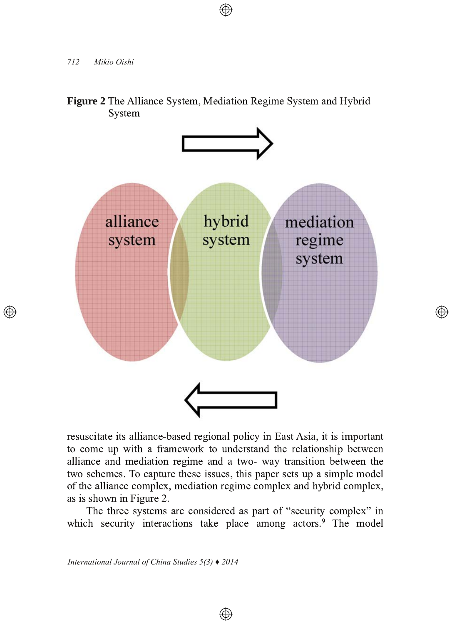$\oplus$ 





 $\bigoplus$ 

resuscitate its alliance-based regional policy in East Asia, it is important to come up with a framework to understand the relationship between alliance and mediation regime and a two- way transition between the two schemes. To capture these issues, this paper sets up a simple model of the alliance complex, mediation regime complex and hybrid complex, as is shown in Figure 2.

The three systems are considered as part of "security complex" in which security interactions take place among actors.<sup>9</sup> The model

⊕

*International Journal of China Studies 5(3) ♦ 2014*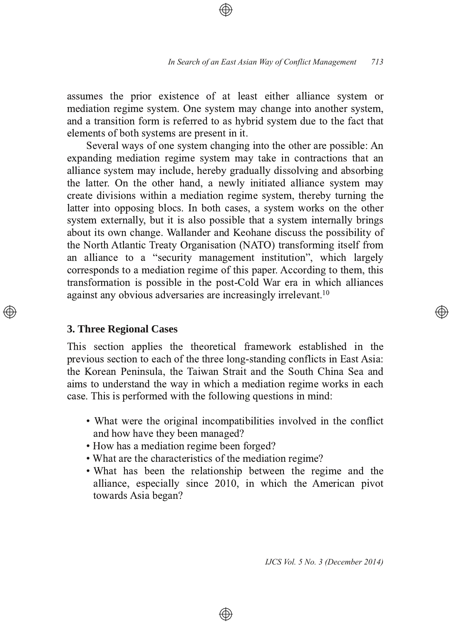assumes the prior existence of at least either alliance system or mediation regime system. One system may change into another system, and a transition form is referred to as hybrid system due to the fact that elements of both systems are present in it.

Several ways of one system changing into the other are possible: An expanding mediation regime system may take in contractions that an alliance system may include, hereby gradually dissolving and absorbing the latter. On the other hand, a newly initiated alliance system may create divisions within a mediation regime system, thereby turning the latter into opposing blocs. In both cases, a system works on the other system externally, but it is also possible that a system internally brings about its own change. Wallander and Keohane discuss the possibility of the North Atlantic Treaty Organisation (NATO) transforming itself from an alliance to a "security management institution", which largely corresponds to a mediation regime of this paper. According to them, this transformation is possible in the post-Cold War era in which alliances against any obvious adversaries are increasingly irrelevant.<sup>10</sup>

### **3. Three Regional Cases**

This section applies the theoretical framework established in the previous section to each of the three long-standing conflicts in East Asia: the Korean Peninsula, the Taiwan Strait and the South China Sea and aims to understand the way in which a mediation regime works in each case. This is performed with the following questions in mind:

- What were the original incompatibilities involved in the conflict and how have they been managed?
- How has a mediation regime been forged?
- What are the characteristics of the mediation regime?
- What has been the relationship between the regime and the alliance, especially since 2010, in which the American pivot towards Asia began?

⊕

*IJCS Vol. 5 No. 3 (December 2014)*

্⊕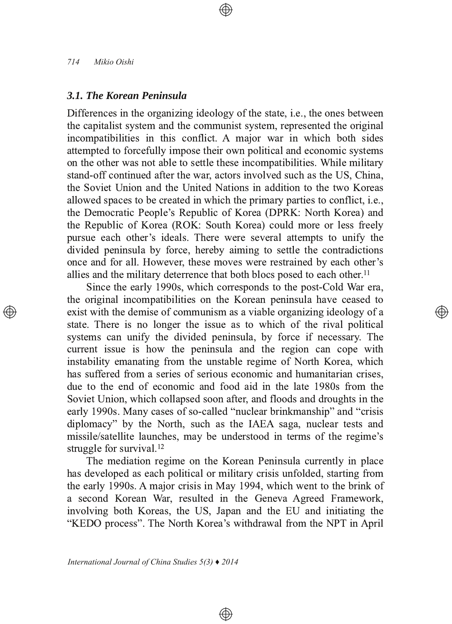### *3.1. The Korean Peninsula*

Differences in the organizing ideology of the state, i.e., the ones between the capitalist system and the communist system, represented the original incompatibilities in this conflict. A major war in which both sides attempted to forcefully impose their own political and economic systems on the other was not able to settle these incompatibilities. While military stand-off continued after the war, actors involved such as the US. China. the Soviet Union and the United Nations in addition to the two Koreas allowed spaces to be created in which the primary parties to conflict, i.e., the Democratic People's Republic of Korea (DPRK: North Korea) and the Republic of Korea (ROK: South Korea) could more or less freely pursue each other's ideals. There were several attempts to unify the divided peninsula by force, hereby aiming to settle the contradictions once and for all. However, these moves were restrained by each other's allies and the military deterrence that both blocs posed to each other.<sup>11</sup>

Since the early 1990s, which corresponds to the post-Cold War era, the original incompatibilities on the Korean peninsula have ceased to exist with the demise of communism as a viable organizing ideology of a state. There is no longer the issue as to which of the rival political systems can unify the divided peninsula, by force if necessary. The current issue is how the peninsula and the region can cope with instability emanating from the unstable regime of North Korea, which has suffered from a series of serious economic and humanitarian crises. due to the end of economic and food aid in the late 1980s from the Soviet Union, which collapsed soon after, and floods and droughts in the early 1990s. Many cases of so-called "nuclear brinkmanship" and "crisis diplomacy" by the North, such as the IAEA saga, nuclear tests and missile/satellite launches, may be understood in terms of the regime's struggle for survival.<sup>12</sup>

্⊕

The mediation regime on the Korean Peninsula currently in place has developed as each political or military crisis unfolded, starting from the early 1990s. A major crisis in May 1994, which went to the brink of a second Korean War, resulted in the Geneva Agreed Framework, involving both Koreas, the US, Japan and the EU and initiating the "KEDO process". The North Korea's withdrawal from the NPT in April

 $\bigoplus$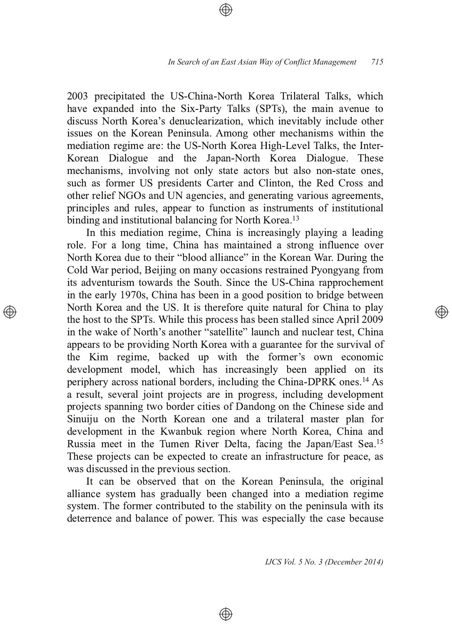2003 precipitated the US-China-North Korea Trilateral Talks, which have expanded into the Six-Party Talks (SPTs), the main avenue to discuss North Korea's denuclearization, which inevitably include other issues on the Korean Peninsula. Among other mechanisms within the mediation regime are: the US-North Korea High-Level Talks, the Inter-Korean Dialogue and the Japan-North Korea Dialogue. These mechanisms, involving not only state actors but also non-state ones, such as former US presidents Carter and Clinton, the Red Cross and other relief NGOs and UN agencies, and generating various agreements, principles and rules, appear to function as instruments of institutional binding and institutional balancing for North Korea.<sup>13</sup>

In this mediation regime, China is increasingly playing a leading role. For a long time, China has maintained a strong influence over North Korea due to their "blood alliance" in the Korean War. During the Cold War period, Beijing on many occasions restrained Pyongyang from its adventurism towards the South. Since the US-China rapprochement in the early 1970s, China has been in a good position to bridge between North Korea and the US. It is therefore quite natural for China to play the host to the SPTs. While this process has been stalled since April 2009 in the wake of North's another "satellite" launch and nuclear test, China appears to be providing North Korea with a guarantee for the survival of the Kim regime, backed up with the former's own economic development model, which has increasingly been applied on its periphery across national borders, including the China-DPRK ones.<sup>14</sup> As a result, several joint projects are in progress, including development projects spanning two border cities of Dandong on the Chinese side and Sinuiju on the North Korean one and a trilateral master plan for development in the Kwanbuk region where North Korea, China and Russia meet in the Tumen River Delta, facing the Japan/East Sea.<sup>15</sup> These projects can be expected to create an infrastructure for peace, as was discussed in the previous section.

It can be observed that on the Korean Peninsula, the original alliance system has gradually been changed into a mediation regime system. The former contributed to the stability on the peninsula with its deterrence and balance of power. This was especially the case because

⊕

*IJCS Vol. 5 No. 3 (December 2014)*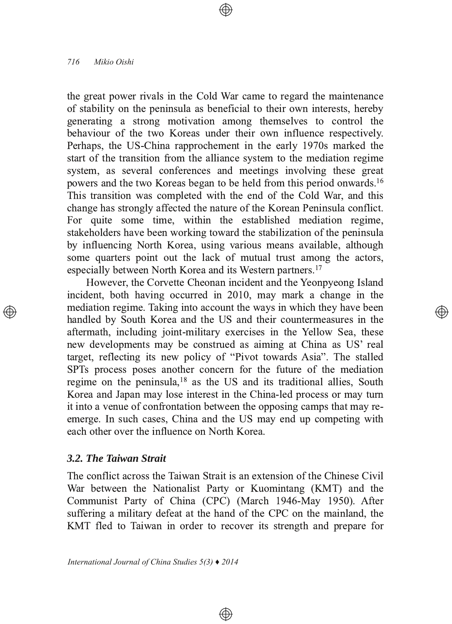the great power rivals in the Cold War came to regard the maintenance of stability on the peninsula as beneficial to their own interests, hereby generating a strong motivation among themselves to control the behaviour of the two Koreas under their own influence respectively. Perhaps, the US-China rapprochement in the early 1970s marked the start of the transition from the alliance system to the mediation regime system, as several conferences and meetings involving these great powers and the two Koreas began to be held from this period onwards.<sup>16</sup> This transition was completed with the end of the Cold War, and this change has strongly affected the nature of the Korean Peninsula conflict. For quite some time, within the established mediation regime, stakeholders have been working toward the stabilization of the peninsula by influencing North Korea, using various means available, although some quarters point out the lack of mutual trust among the actors, especially between North Korea and its Western partners.<sup>17</sup>

However, the Corvette Cheonan incident and the Yeonpyeong Island incident, both having occurred in 2010, may mark a change in the mediation regime. Taking into account the ways in which they have been handled by South Korea and the US and their countermeasures in the aftermath, including joint-military exercises in the Yellow Sea, these new developments may be construed as aiming at China as US' real target, reflecting its new policy of "Pivot towards Asia". The stalled SPTs process poses another concern for the future of the mediation regime on the peninsula,<sup>18</sup> as the US and its traditional allies, South Korea and Japan may lose interest in the China-led process or may turn it into a venue of confrontation between the opposing camps that may reemerge. In such cases, China and the US may end up competing with each other over the influence on North Korea.

### *3.2. The Taiwan Strait*

The conflict across the Taiwan Strait is an extension of the Chinese Civil War between the Nationalist Party or Kuomintang (KMT) and the Communist Party of China (CPC) (March 1946-May 1950). After suffering a military defeat at the hand of the CPC on the mainland, the KMT fled to Taiwan in order to recover its strength and prepare for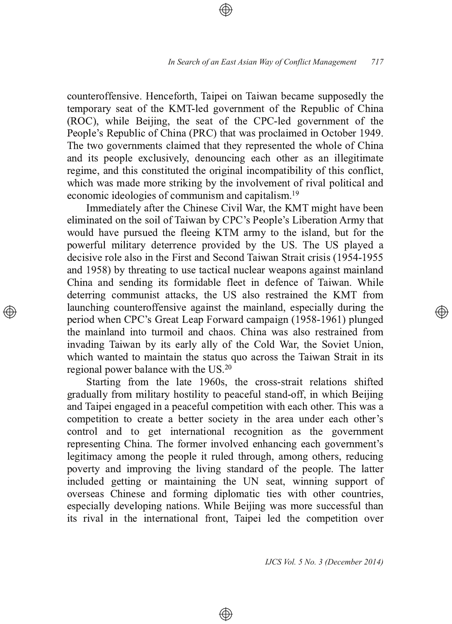counteroffensive. Henceforth, Taipei on Taiwan became supposedly the temporary seat of the KMT-led government of the Republic of China (ROC), while Beijing, the seat of the CPC-led government of the People's Republic of China (PRC) that was proclaimed in October 1949. The two governments claimed that they represented the whole of China and its people exclusively, denouncing each other as an illegitimate regime, and this constituted the original incompatibility of this conflict, which was made more striking by the involvement of rival political and economic ideologies of communism and capitalism.<sup>19</sup>

Immediately after the Chinese Civil War, the KMT might have been eliminated on the soil of Taiwan by CPC's People's Liberation Army that would have pursued the fleeing KTM army to the island, but for the powerful military deterrence provided by the US. The US played a decisive role also in the First and Second Taiwan Strait crisis (1954-1955 and 1958) by threating to use tactical nuclear weapons against mainland China and sending its formidable fleet in defence of Taiwan. While deterring communist attacks, the US also restrained the KMT from launching counteroffensive against the mainland, especially during the period when CPC's Great Leap Forward campaign (1958-1961) plunged the mainland into turmoil and chaos. China was also restrained from invading Taiwan by its early ally of the Cold War, the Soviet Union, which wanted to maintain the status quo across the Taiwan Strait in its regional power balance with the US.<sup>20</sup>

Starting from the late 1960s, the cross-strait relations shifted gradually from military hostility to peaceful stand-off, in which Beijing and Taipei engaged in a peaceful competition with each other. This was a competition to create a better society in the area under each other's control and to get international recognition as the government representing China. The former involved enhancing each government's legitimacy among the people it ruled through, among others, reducing poverty and improving the living standard of the people. The latter included getting or maintaining the UN seat, winning support of overseas Chinese and forming diplomatic ties with other countries, especially developing nations. While Beijing was more successful than its rival in the international front, Taipei led the competition over

⊕

*IJCS Vol. 5 No. 3 (December 2014)*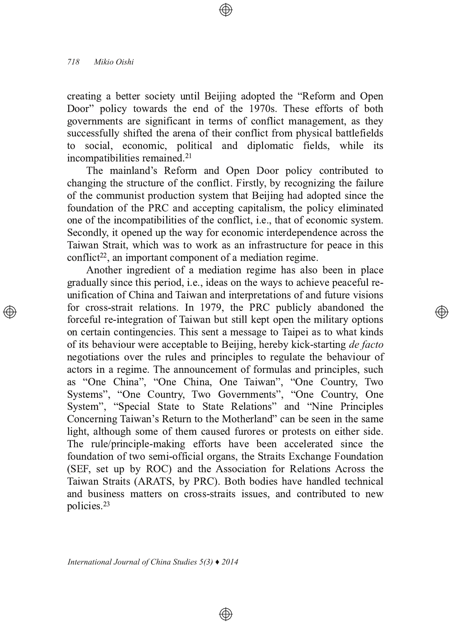creating a better society until Beijing adopted the "Reform and Open Door" policy towards the end of the 1970s. These efforts of both governments are significant in terms of conflict management, as they successfully shifted the arena of their conflict from physical battlefields<br>to social economic political and diplomatic fields, while its social, economic, political and diplomatic fields, while its incompatibilities remained.<sup>21</sup>

The mainland's Reform and Open Door policy contributed to changing the structure of the conflict. Firstly, by recognizing the failure of the communist production system that Beijing had adopted since the foundation of the PRC and accepting capitalism, the policy eliminated one of the incompatibilities of the conflict, i.e., that of economic system. Secondly, it opened up the way for economic interdependence across the Taiwan Strait, which was to work as an infrastructure for peace in this conflict<sup>22</sup>, an important component of a mediation regime.

Another ingredient of a mediation regime has also been in place gradually since this period, i.e., ideas on the ways to achieve peaceful reunification of China and Taiwan and interpretations of and future visions for cross-strait relations. In 1979, the PRC publicly abandoned the forceful re-integration of Taiwan but still kept open the military options on certain contingencies. This sent a message to Taipei as to what kinds of its behaviour were acceptable to Beijing, hereby kick-starting *de facto* negotiations over the rules and principles to regulate the behaviour of actors in a regime. The announcement of formulas and principles, such as "One China", "One China, One Taiwan", "One Country, Two Systems", "One Country, Two Governments", "One Country, One System", "Special State to State Relations" and "Nine Principles Concerning Taiwan's Return to the Motherland" can be seen in the same light, although some of them caused furores or protests on either side. The rule/principle-making efforts have been accelerated since the foundation of two semi-official organs, the Straits Exchange Foundation (SEF, set up by ROC) and the Association for Relations Across the Taiwan Straits (ARATS, by PRC). Both bodies have handled technical and business matters on cross-straits issues, and contributed to new policies.<sup>23</sup>

⊕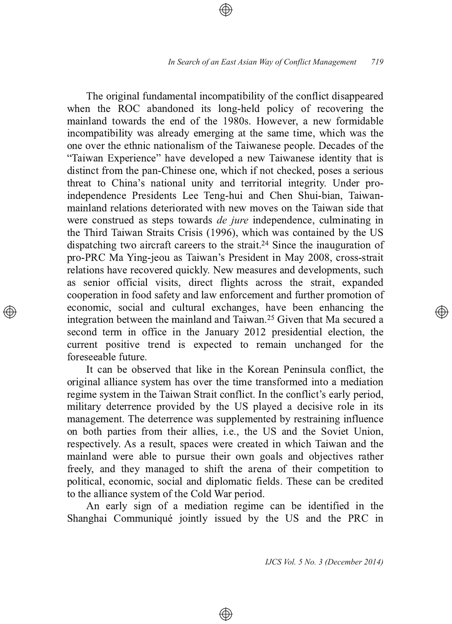The original fundamental incompatibility of the conflict disappeared when the ROC abandoned its long-held policy of recovering the mainland towards the end of the 1980s. However, a new formidable incompatibility was already emerging at the same time, which was the one over the ethnic nationalism of the Taiwanese people. Decades of the "Taiwan Experience" have developed a new Taiwanese identity that is distinct from the pan-Chinese one, which if not checked, poses a serious threat to China's national unity and territorial integrity. Under proindependence Presidents Lee Teng-hui and Chen Shui-bian, Taiwanmainland relations deteriorated with new moves on the Taiwan side that were construed as steps towards *de jure* independence, culminating in the Third Taiwan Straits Crisis (1996), which was contained by the US dispatching two aircraft careers to the strait.<sup>24</sup> Since the inauguration of pro-PRC Ma Ying-jeou as Taiwan's President in May 2008, cross-strait relations have recovered quickly. New measures and developments, such as senior official visits, direct flights across the strait, expanded cooperation in food safety and law enforcement and further promotion of economic, social and cultural exchanges, have been enhancing the integration between the mainland and Taiwan.<sup>25</sup> Given that Ma secured a second term in office in the January 2012 presidential election, the current positive trend is expected to remain unchanged for the foreseeable future.

It can be observed that like in the Korean Peninsula conflict, the original alliance system has over the time transformed into a mediation regime system in the Taiwan Strait conflict. In the conflict's early period, military deterrence provided by the US played a decisive role in its management. The deterrence was supplemented by restraining influence on both parties from their allies, i.e., the US and the Soviet Union, respectively. As a result, spaces were created in which Taiwan and the mainland were able to pursue their own goals and objectives rather freely, and they managed to shift the arena of their competition to political, economic, social and diplomatic fields. These can be credited to the alliance system of the Cold War period.

An early sign of a mediation regime can be identified in the Shanghai Communiqué jointly issued by the US and the PRC in

⊕

*IJCS Vol. 5 No. 3 (December 2014)*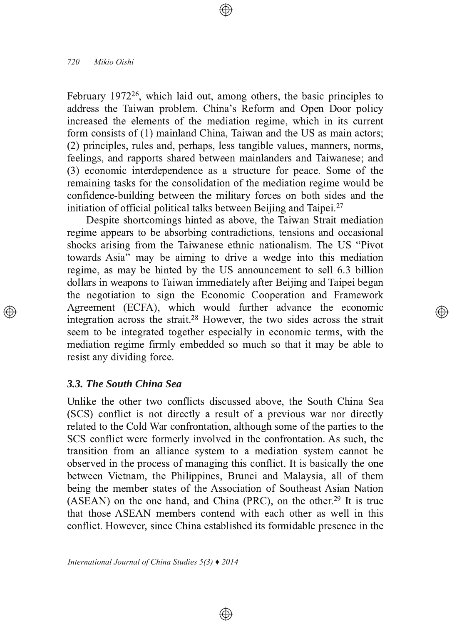February 1972<sup>26</sup>, which laid out, among others, the basic principles to address the Taiwan problem. China's Reform and Open Door policy increased the elements of the mediation regime, which in its current form consists of  $(1)$  mainland China, Taiwan and the US as main actors; (2) principles, rules and, perhaps, less tangible values, manners, norms, feelings, and rapports shared between mainlanders and Taiwanese; and  $(3)$  economic interdependence as a structure for peace. Some of the remaining tasks for the consolidation of the mediation regime would be confidence-building between the military forces on both sides and the initiation of official political talks between Beijing and Taipei.<sup>27</sup>

Despite shortcomings hinted as above, the Taiwan Strait mediation regime appears to be absorbing contradictions, tensions and occasional shocks arising from the Taiwanese ethnic nationalism. The US "Pivot" towards Asia" may be aiming to drive a wedge into this mediation regime, as may be hinted by the US announcement to sell 6.3 billion dollars in weapons to Taiwan immediately after Beijing and Taipei began the negotiation to sign the Economic Cooperation and Framework Agreement (ECFA), which would further advance the economic integration across the strait.<sup>28</sup> However, the two sides across the strait seem to be integrated together especially in economic terms, with the mediation regime firmly embedded so much so that it may be able to resist any dividing force.

্⊕

### *3.3. The South China Sea*

Unlike the other two conflicts discussed above, the South China Sea (SCS) conflict is not directly a result of a previous war nor directly related to the Cold War confrontation, although some of the parties to the SCS conflict were formerly involved in the confrontation. As such, the transition from an alliance system to a mediation system cannot be observed in the process of managing this conflict. It is basically the one between Vietnam, the Philippines, Brunei and Malaysia, all of them being the member states of the Association of Southeast Asian Nation (ASEAN) on the one hand, and China (PRC), on the other.<sup>29</sup> It is true that those ASEAN members contend with each other as well in this conflict. However, since China established its formidable presence in the

 $\bigoplus$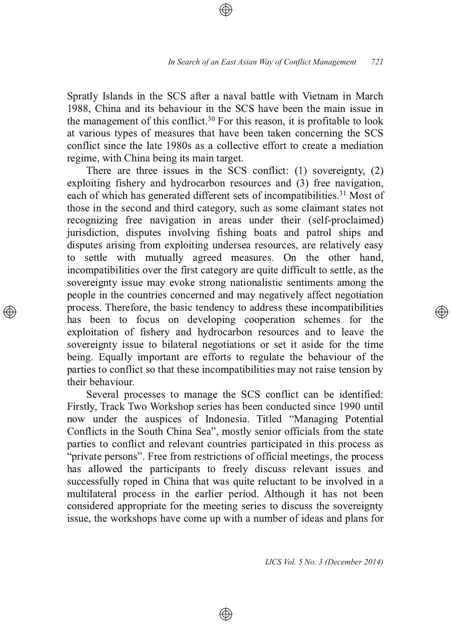Spratly Islands in the SCS after a naval battle with Vietnam in March 1988, China and its behaviour in the SCS have been the main issue in the management of this conflict.<sup>30</sup> For this reason, it is profitable to look at various types of measures that have been taken concerning the SCS conflict since the late 1980s as a collective effort to create a mediation regime, with China being its main target.

There are three issues in the SCS conflict:  $(1)$  sovereignty,  $(2)$  $exploiting$  fishery and hydrocarbon resources and  $(3)$  free navigation, each of which has generated different sets of incompatibilities.<sup>31</sup> Most of those in the second and third category, such as some claimant states not recognizing free navigation in areas under their (self-proclaimed) jurisdiction, disputes involving fishing boats and patrol ships and disputes arising from exploiting undersea resources, are relatively easy to settle with mutually agreed measures. On the other hand, incompatibilities over the first category are quite difficult to settle, as the sovereignty issue may evoke strong nationalistic sentiments among the people in the countries concerned and may negatively affect negotiation process. Therefore, the basic tendency to address these incompatibilities has been to focus on developing cooperation schemes for the exploitation of fishery and hydrocarbon resources and to leave the sovereignty issue to bilateral negotiations or set it aside for the time being. Equally important are efforts to regulate the behaviour of the parties to conflict so that these incompatibilities may not raise tension by their behaviour.

Several processes to manage the SCS conflict can be identified: Firstly, Track Two Workshop series has been conducted since 1990 until now under the auspices of Indonesia. Titled "Managing Potential Conflicts in the South China Sea", mostly senior officials from the state parties to conflict and relevant countries participated in this process as "private persons". Free from restrictions of official meetings, the process has allowed the participants to freely discuss relevant issues and successfully roped in China that was quite reluctant to be involved in a multilateral process in the earlier period. Although it has not been considered appropriate for the meeting series to discuss the sovereignty issue, the workshops have come up with a number of ideas and plans for

⊕

*IJCS Vol. 5 No. 3 (December 2014)*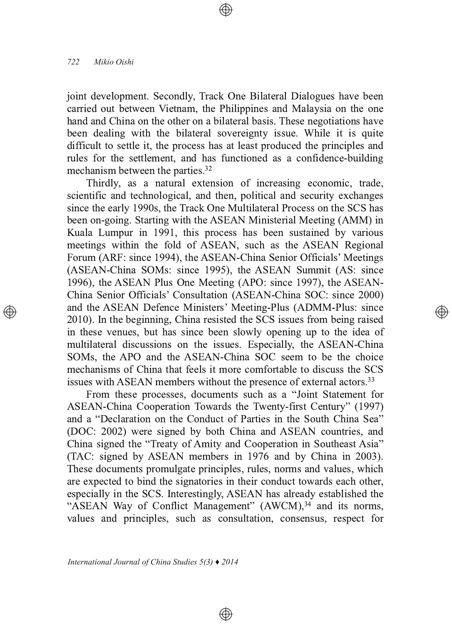joint development. Secondly, Track One Bilateral Dialogues have been carried out between Vietnam, the Philippines and Malaysia on the one hand and China on the other on a bilateral basis. These negotiations have been dealing with the bilateral sovereignty issue. While it is quite difficult to settle it, the process has at least produced the principles and rules for the settlement, and has functioned as a confidence-building mechanism between the parties.<sup>32</sup>

Thirdly, as a natural extension of increasing economic, trade, scientific and technological, and then, political and security exchanges since the early 1990s, the Track One Multilateral Process on the SCS has been on-going. Starting with the ASEAN Ministerial Meeting (AMM) in Kuala Lumpur in 1991, this process has been sustained by various meetings within the fold of ASEAN, such as the ASEAN Regional Forum (ARF: since 1994), the ASEAN-China Senior Officials' Meetings (ASEAN-China SOMs: since 1995), the ASEAN Summit (AS: since 1996), the ASEAN Plus One Meeting (APO: since 1997), the ASEAN-China Senior Officials' Consultation (ASEAN-China SOC: since 2000) and the ASEAN Defence Ministers' Meeting-Plus (ADMM-Plus: since 2010). In the beginning, China resisted the SCS issues from being raised in these venues, but has since been slowly opening up to the idea of multilateral discussions on the issues. Especially, the ASEAN-China SOMs, the APO and the ASEAN-China SOC seem to be the choice mechanisms of China that feels it more comfortable to discuss the SCS issues with ASEAN members without the presence of external actors.<sup>33</sup>

</u>

From these processes, documents such as a "Joint Statement for ASEAN-China Cooperation Towards the Twenty-first Century" (1997) and a "Declaration on the Conduct of Parties in the South China Sea" (DOC: 2002) were signed by both China and ASEAN countries, and China signed the "Treaty of Amity and Cooperation in Southeast Asia" (TAC: signed by ASEAN members in 1976 and by China in 2003). These documents promulgate principles, rules, norms and values, which are expected to bind the signatories in their conduct towards each other, especially in the SCS. Interestingly, ASEAN has already established the "ASEAN Way of Conflict Management" (AWCM),<sup>34</sup> and its norms, values and principles, such as consultation, consensus, respect for

 $\bigoplus$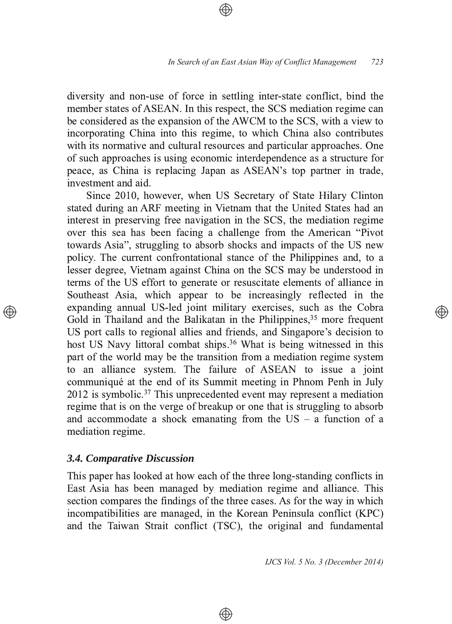diversity and non-use of force in settling inter-state conflict, bind the member states of ASEAN. In this respect, the SCS mediation regime can be considered as the expansion of the AWCM to the SCS, with a view to incorporating China into this regime, to which China also contributes with its normative and cultural resources and particular approaches. One of such approaches is using economic interdependence as a structure for peace, as China is replacing Japan as ASEAN's top partner in trade, investment and aid.

Since 2010, however, when US Secretary of State Hilary Clinton stated during an ARF meeting in Vietnam that the United States had an interest in preserving free navigation in the SCS, the mediation regime over this sea has been facing a challenge from the American "Pivot" towards Asia", struggling to absorb shocks and impacts of the US new policy. The current confrontational stance of the Philippines and, to a lesser degree, Vietnam against China on the SCS may be understood in terms of the US effort to generate or resuscitate elements of alliance in Southeast Asia, which appear to be increasingly reflected in the expanding annual US-led joint military exercises, such as the Cobra Gold in Thailand and the Balikatan in the Philippines,  $35$  more frequent US port calls to regional allies and friends, and Singapore's decision to host US Navy littoral combat ships.<sup>36</sup> What is being witnessed in this part of the world may be the transition from a mediation regime system to an alliance system. The failure of ASEAN to issue a joint communiqué at the end of its Summit meeting in Phnom Penh in July 2012 is symbolic.<sup>37</sup> This unprecedented event may represent a mediation regime that is on the verge of breakup or one that is struggling to absorb and accommodate a shock emanating from the  $US - a$  function of a mediation regime.

### *3.4. Comparative Discussion*

This paper has looked at how each of the three long-standing conflicts in East Asia has been managed by mediation regime and alliance. This section compares the findings of the three cases. As for the way in which incompatibilities are managed, in the Korean Peninsula conflict (KPC) and the Taiwan Strait conflict (TSC), the original and fundamental

⊕

*IJCS Vol. 5 No. 3 (December 2014)*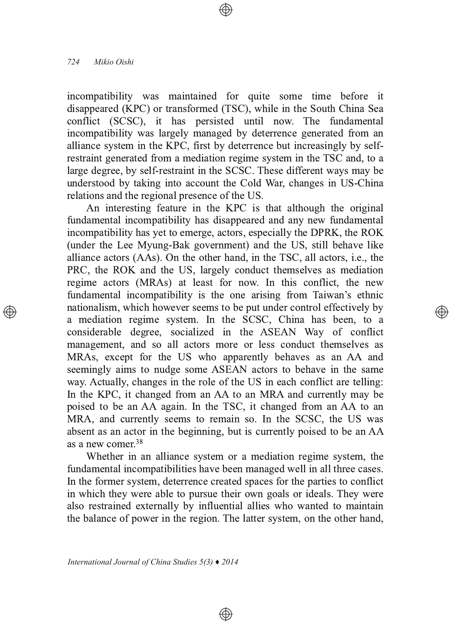incompatibility was maintained for quite some time before it disappeared (KPC) or transformed (TSC), while in the South China Sea conflict (SCSC), it has persisted until now. The fundamental incompatibility was largely managed by deterrence generated from an alliance system in the KPC, first by deterrence but increasingly by selfrestraint generated from a mediation regime system in the TSC and, to a large degree, by self-restraint in the SCSC. These different ways may be understood by taking into account the Cold War, changes in US-China relations and the regional presence of the US.

An interesting feature in the KPC is that although the original fundamental incompatibility has disappeared and any new fundamental incompatibility has yet to emerge, actors, especially the DPRK, the ROK (under the Lee Myung-Bak government) and the US, still behave like alliance actors ( $\angle$ As). On the other hand, in the TSC, all actors, i.e., the PRC, the ROK and the US, largely conduct themselves as mediation regime actors (MRAs) at least for now. In this conflict, the new fundamental incompatibility is the one arising from Taiwan's ethnic nationalism, which however seems to be put under control effectively by a mediation regime system. In the SCSC, China has been, to a considerable degree, socialized in the ASEAN Way of conflict management, and so all actors more or less conduct themselves as MRAs, except for the US who apparently behaves as an AA and seemingly aims to nudge some ASEAN actors to behave in the same way. Actually, changes in the role of the US in each conflict are telling: In the KPC, it changed from an AA to an MRA and currently may be poised to be an AA again. In the TSC, it changed from an AA to an MRA, and currently seems to remain so. In the SCSC, the US was absent as an actor in the beginning, but is currently poised to be an AA as a new comer  $38$ 

্⊕

Whether in an alliance system or a mediation regime system, the fundamental incompatibilities have been managed well in all three cases. In the former system, deterrence created spaces for the parties to conflict in which they were able to pursue their own goals or ideals. They were also restrained externally by influential allies who wanted to maintain the balance of power in the region. The latter system, on the other hand,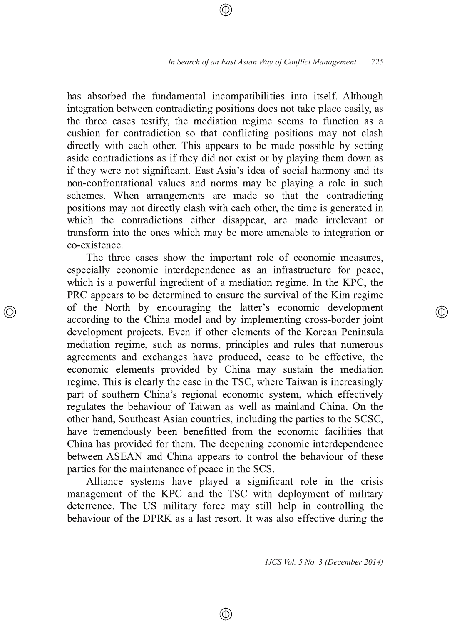has absorbed the fundamental incompatibilities into itself. Although integration between contradicting positions does not take place easily, as the three cases testify, the mediation regime seems to function as a cushion for contradiction so that conflicting positions may not clash directly with each other. This appears to be made possible by setting aside contradictions as if they did not exist or by playing them down as if they were not significant. East Asia's idea of social harmony and its non-confrontational values and norms may be playing a role in such schemes. When arrangements are made so that the contradicting positions may not directly clash with each other, the time is generated in which the contradictions either disappear, are made irrelevant or transform into the ones which may be more amenable to integration or co-existence.

The three cases show the important role of economic measures, especially economic interdependence as an infrastructure for peace, which is a powerful ingredient of a mediation regime. In the KPC, the PRC appears to be determined to ensure the survival of the Kim regime of the North by encouraging the latter's economic development according to the China model and by implementing cross-border joint development projects. Even if other elements of the Korean Peninsula mediation regime, such as norms, principles and rules that numerous agreements and exchanges have produced, cease to be effective, the economic elements provided by China may sustain the mediation regime. This is clearly the case in the TSC, where Taiwan is increasingly part of southern China's regional economic system, which effectively regulates the behaviour of Taiwan as well as mainland China. On the other hand, Southeast Asian countries, including the parties to the SCSC, have tremendously been benefitted from the economic facilities that China has provided for them. The deepening economic interdependence between ASEAN and China appears to control the behaviour of these parties for the maintenance of peace in the SCS.

Alliance systems have played a significant role in the crisis management of the KPC and the TSC with deployment of military deterrence. The US military force may still help in controlling the behaviour of the DPRK as a last resort. It was also effective during the

⊕

*IJCS Vol. 5 No. 3 (December 2014)*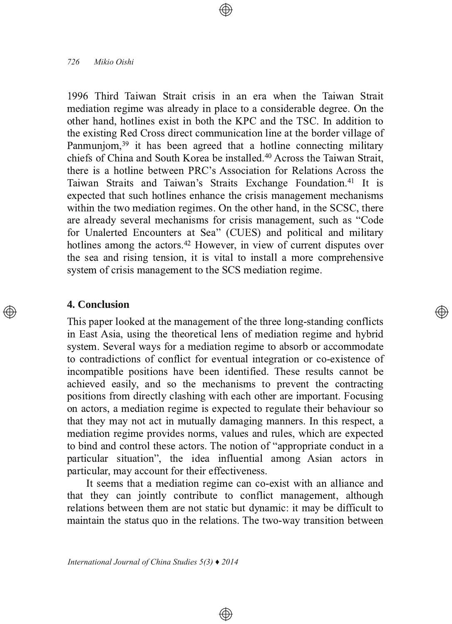1996 Third Taiwan Strait crisis in an era when the Taiwan Strait mediation regime was already in place to a considerable degree. On the other hand, hotlines exist in both the KPC and the TSC. In addition to the existing Red Cross direct communication line at the border village of Panmuniom,  $39$  it has been agreed that a hotline connecting military chiefs of China and South Korea be installed.<sup>40</sup> Across the Taiwan Strait, there is a hotline between PRC's Association for Relations Across the Taiwan Straits and Taiwan's Straits Exchange Foundation.<sup>41</sup> It is expected that such hot lines enhance the crisis management mechanisms within the two mediation regimes. On the other hand, in the SCSC, there are already several mechanisms for crisis management, such as "Code" for Unalerted Encounters at Sea" (CUES) and political and military hotlines among the actors.<sup>42</sup> However, in view of current disputes over the sea and rising tension, it is vital to install a more comprehensive system of crisis management to the SCS mediation regime.

### **4. Conclusion**

This paper looked at the management of the three long-standing conflicts in East Asia, using the theoretical lens of mediation regime and hybrid system. Several ways for a mediation regime to absorb or accommodate to contradictions of conflict for eventual integration or co-existence of incompatible positions have been identified. These results cannot be achieved easily, and so the mechanisms to prevent the contracting positions from directly clashing with each other are important. Focusing on actors, a mediation regime is expected to regulate their behaviour so that they may not act in mutually damaging manners. In this respect, a mediation regime provides norms, values and rules, which are expected to bind and control these actors. The notion of "appropriate conduct in a particular situation", the idea influential among Asian actors in particular, may account for their effectiveness.

্⊕

It seems that a mediation regime can co-exist with an alliance and that they can jointly contribute to conflict management, although relations between them are not static but dynamic: it may be difficult to maintain the status quo in the relations. The two-way transition between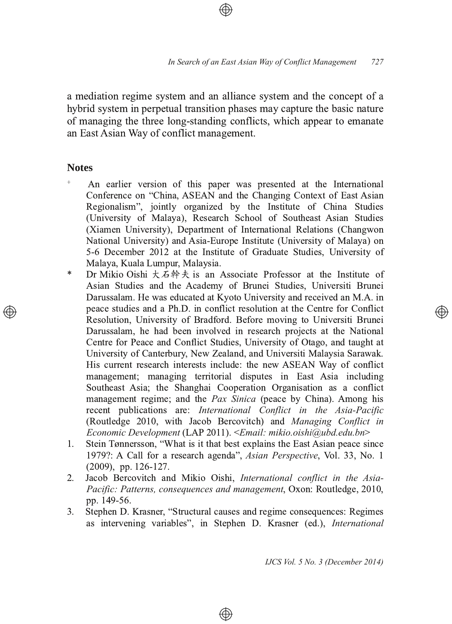a mediation regime system and an alliance system and the concept of a hybrid system in perpetual transition phases may capture the basic nature of managing the three long-standing conflicts, which appear to emanate an East Asian Way of conflict management.

### **Notes**

- <sup>+</sup> An earlier version of this paper was presented at the International Conference on "China, ASEAN and the Changing Context of East Asian Regionalism", jointly organized by the Institute of China Studies (University of Malaya), Research School of Southeast Asian Studies (Xiamen University), Department of International Relations (Changwon National University) and Asia-Europe Institute (University of Malaya) on 5-6 December 2012 at the Institute of Graduate Studies, University of Malaya, Kuala Lumpur, Malaysia.
- \* Dr Mikio Oishi  $\pm \hat{A}$  # $\pm \hat{B}$  is an Associate Professor at the Institute of Asian Studies and the Academy of Brunei Studies, Universiti Brunei Darussalam. He was educated at Kyoto University and received an M.A. in peace studies and a Ph.D. in conflict resolution at the Centre for Conflict Resolution, University of Bradford. Before moving to Universiti Brunei Darussalam, he had been involved in research projects at the National Centre for Peace and Conflict Studies, University of Otago, and taught at University of Canterbury, New Zealand, and Universiti Malaysia Sarawak. His current research interests include: the new ASEAN Way of conflict management; managing territorial disputes in East Asia including Southeast Asia; the Shanghai Cooperation Organisation as a conflict management regime; and the *Pax Sinica* (peace by China). Among his recent publications are: *International Conflict in the Asia-Pacific* (Routledge 2010, with Jacob Bercovitch) and Managing Conflict in *Economic Development* #' - *Email: mikio.oishi@ubd.edu.bn*
- $1.$ Stein Tønnersson, "What is it that best explains the East Asian peace since 1979?: A Call for a research agenda", Asian Perspective, Vol. 33, No. 1  $(2009)$ , pp. 126-127.
- 2. Jacob Bercovitch and Mikio Oishi, *International conflict in the Asia-Pacific: Patterns, consequences and management, Oxon: Routledge, 2010,* pp. 149-56.
- 3. Stephen D. Krasner, "Structural causes and regime consequences: Regimes as intervening variables", in Stephen D. Krasner (ed.), International

⊕

*IJCS Vol. 5 No. 3 (December 2014)*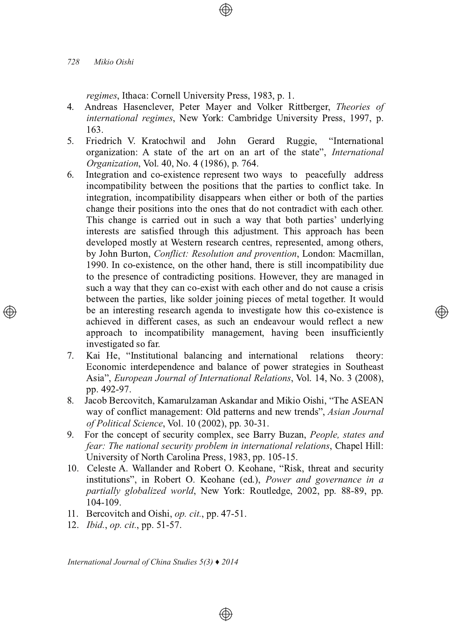regimes, Ithaca: Cornell University Press, 1983, p. 1.

- Andreas Hasenclever, Peter Mayer and Volker Rittberger, Theories of  $4<sup>1</sup>$ international regimes, New York: Cambridge University Press, 1997, p. 163.
- $5<sub>1</sub>$ Friedrich V. Kratochwil and John Gerard Ruggie, "International organization: A state of the art on an art of the state", *International* Organization, Vol. 40, No. 4 (1986), p. 764.
- Integration and co-existence represent two ways to peacefully address 6. incompatibility between the positions that the parties to conflict take. In integration, incompatibility disappears when either or both of the parties change their positions into the ones that do not contradict with each other. This change is carried out in such a way that both parties' underlying interests are satisfied through this adjustment. This approach has been developed mostly at Western research centres, represented, among others, by John Burton, Conflict: Resolution and provention, London: Macmillan, 1990. In co-existence, on the other hand, there is still incompatibility due to the presence of contradicting positions. However, they are managed in such a way that they can co-exist with each other and do not cause a crisis between the parties, like solder joining pieces of metal together. It would be an interesting research agenda to investigate how this co-existence is achieved in different cases, as such an endeavour would reflect a new approach to incompatibility management, having been insufficiently investigated so far.
- Kai He, "Institutional balancing and international relations  $7<sub>1</sub>$ theory: Economic interdependence and balance of power strategies in Southeast Asia", European Journal of International Relations, Vol. 14, No. 3 (2008), pp. 492-97.
- 8. Jacob Bercovitch, Kamarulzaman Askandar and Mikio Oishi, "The ASEAN way of conflict management: Old patterns and new trends", Asian Journal of Political Science, Vol. 10 (2002), pp. 30-31.
- 9. For the concept of security complex, see Barry Buzan, People, states and fear: The national security problem in international relations, Chapel Hill: University of North Carolina Press, 1983, pp. 105-15.
- 10. Celeste A. Wallander and Robert O. Keohane, "Risk, threat and security institutions", in Robert O. Keohane (ed.), *Power and governance in a* partially globalized world, New York: Routledge, 2002, pp. 88-89, pp. 104-109.

 $\bigoplus$ 

- 11. Bercovitch and Oishi, op. cit., pp. 47-51.
- 12. *Ibid., op. cit., pp.* 51-57.

International Journal of China Studies  $5(3)$   $\blacklozenge$  2014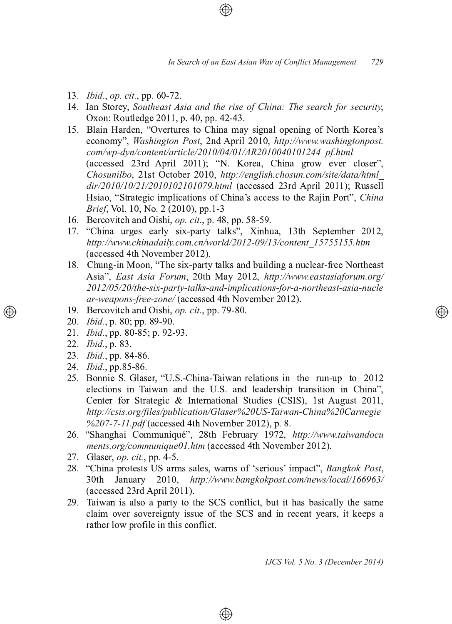- 13. *Ibid.*, *op. cit.*, pp. 60-72.
- 14. Ian Storey, *Southeast Asia and the rise of China: The search for security*, Oxon: Routledge 2011, p. 40, pp. 42-43.
- 15. Blain Harden, "Overtures to China may signal opening of North Korea's economy", *Washington Post*, 2nd April 2010, *http://www.washingtonpost. com/wp-dyn/content/article/2010/04/01/AR2010040101244\_pf.html* (accessed 23rd April 2011); "N. Korea, China grow ever closer", Chosunilbo, 21st October 2010, http://english.chosun.com/site/data/html\_ dir/2010/10/21/2010102101079.html (accessed 23rd April 2011); Russell Hsiao, "Strategic implications of China's access to the Rajin Port", China *Brief*, Vol. 10, No. 2 (2010), pp.1-3
- 16. Bercovitch and Oishi, *op. cit.*, p. 48, pp. 58-59.
- 17. "China urges early six-party talks", Xinhua, 13th September 2012, *http://www.chinadaily.com.cn/world/2012-09/13/content\_15755155.htm* (accessed 4th November 2012) .
- 18. Chung-in Moon, "The six-party talks and building a nuclear-free Northeast Asia", *East Asia Forum*, 20th May 2012, *http://www.eastasiaforum.org/ 2012/05/20/the-six-party-talks-and-implications-for-a-northeast-asia-nucle ar-weapons-free-zone/* (accessed 4th November 2012) l,
- 19. Bercovitch and Oishi, op. cit., pp. 79-80.
- 20. *Ibid.*, p. 80; pp. 89-90.
- 21. *Ibid.*, pp. 80-85; p. 92-93.
- 22. *Ibid.*, p. 83.
- 23. *Ibid.*, pp. 84-86.
- 24. *Ibid.*, pp.85-86.
- 25. Bonnie S. Glaser, "U.S.-China-Taiwan relations in the run-up to 2012 elections in Taiwan and the U.S. and leadership transition in China", Center for Strategic & International Studies (CSIS), 1st August 2011, *http://csis.org/files/publication/Glaser%20US-Taiwan-China%20Carnegie* %207-7-11.pdf (accessed 4th November 2012), p. 8.
- 26. "Shanghai Communiqué", 28th February 1972, http://www.taiwandocu ments.org/communique01.htm (accessed 4th November 2012)  $\overline{\phantom{a}}$
- 27. Glaser, *op. cit.*, pp. 4-5.
- 28. "China protests US arms sales, warns of 'serious' impact", *Bangkok Post*, 30th January 2010, http://www.bangkokpost.com/news/local/166963/ (accessed 23rd April 2011) .
- 29. Taiwan is also a party to the SCS conflict, but it has basically the same claim over sovereignty issue of the SCS and in recent years, it keeps a rather low profile in this conflict.

⊕

*IJCS Vol. 5 No. 3 (December 2014)*

</u>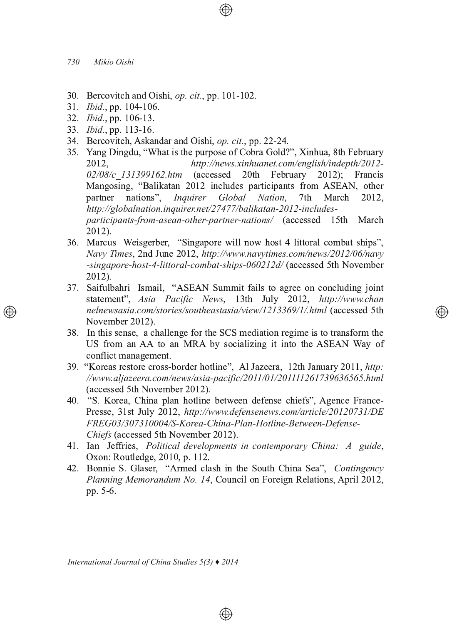- 30. Bercovitch and Oishi, *op. cit.*, pp. 101-102.
- 31. *Ibid.*, pp. 104-106.
- 32. *Ibid.*, pp. 106-13.
- 33. *Ibid.*, pp. 113-16.
- 34. Bercovitch, Askandar and Oishi, *op. cit.*, pp. 22-24.
- 35. Yang Dingdu, "What is the purpose of Cobra Gold?", Xinhua, 8th February 2012. *http://news.xinhuanet.com/english/indepth/2012-* 02/08/c<sup>2</sup>131399162.htm (accessed 20th February 2); Francis Mangosing, "Balikatan 2012 includes participants from ASEAN, other partner nations", *Inquirer Global Nation*, 7th March 2012. *http://globalnation.inquirer.net/27477/balikatan-2012-includes*participants-from-asean-other-partner-nations/ (accessed 15th March 2012) .
- 36. Marcus Weisgerber, "Singapore will now host 4 littoral combat ships", *Navy Times, 2nd June 2012, http://www.navytimes.com/news/2012/06/navy* -singapore-host-4-littoral-combat-ships-060212d/ (accessed 5th November 2012) .
- 37. Saifulbahri Ismail, "ASEAN Summit fails to agree on concluding joint statement", Asia Pacific News, 13th July 2012, http://www.chan *nelnewsasia.com/stories/southeastasia/view/1213369/1/.html* (accessed 5th November 2012) <sup>-</sup>

⊕

- 38. In this sense, a challenge for the SCS mediation regime is to transform the US from an AA to an MRA by socializing it into the ASEAN Way of conflict management.
- 39. "Koreas restore cross-border hotline", Al Jazeera, 12th January 2011, http: *//www.aljazeera.com/news/asia-pacific/2011/01/201111261739636565.html* (accessed 5th November 2012) .
- 40. "S. Korea, China plan hotline between defense chiefs", Agence France-Presse, 31st July 2012, http://www.defensenews.com/article/20120731/DE *FREG03/307310004/S-Korea-China-Plan-Hotline-Between-Defense-Chiefs* (accessed 5th November 2012) 1
- 41. Ian Jeffries, Political developments in contemporary China: A guide, Oxon: Routledge, 2010, p. 112.
- 42. Bonnie S. Glaser, "Armed clash in the South China Sea", *Contingency* Planning Memorandum No. 14, Council on Foreign Relations, April 2012, pp. 5-6.

⊕

*International Journal of China Studies 5(3) ♦ 2014*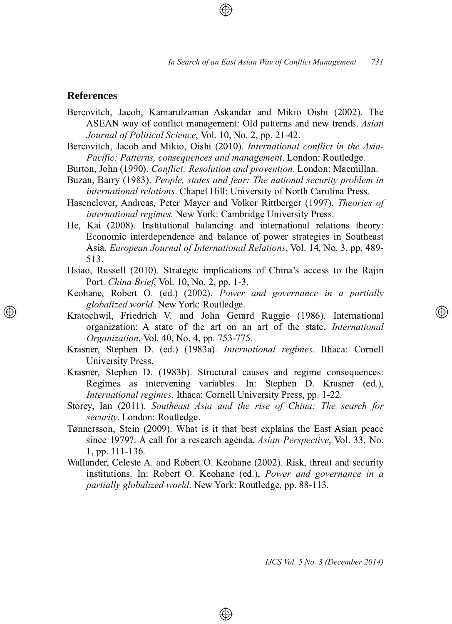### **References**

- Bercovitch, Jacob, Kamarulzaman Askandar and Mikio Oishi (2002). The ASEAN way of conflict management: Old patterns and new trends. *Asian Journal of Political Science, Vol. 10, No. 2, pp. 21-42.*
- Bercovitch, Jacob and Mikio, Oishi (2010). *International conflict in the Asia-Pacific: Patterns, consequences and management, London: Routledge,*
- Burton, John (1990). *Conflict: Resolution and provention*. London: Macmillan.
- Buzan, Barry (1983). People, states and fear: The national security problem in *international relations.* Chapel Hill: University of North Carolina Press.
- Hasenclever, Andreas, Peter Mayer and Volker Rittberger (1997). *Theories of international regimes.* New York: Cambridge University Press.
- He, Kai (2008). Institutional balancing and international relations theory: Economic interdependence and balance of power strategies in Southeast Asia. *European Journal of International Relations*, Vol. 14, No. 3, pp. 489-513.
- Hsiao, Russell (2010). Strategic implications of China's access to the Rajin Port. *China Brief*, Vol. 10, No. 2, pp. 1-3.
- Keohane, Robert O. (ed.) (2002). *Power and governance in a partially* globalized world. New York: Routledge.
- Kratochwil, Friedrich V. and John Gerard Ruggie (1986). International organization: A state of the art on an art of the state. *International Organization*, Vol. 40, No. 4, pp. 753-775.
- Krasner, Stephen D. (ed.) (1983a). *International regimes*. Ithaca: Cornell University Press.
- Krasner, Stephen D. (1983b). Structural causes and regime consequences: Regimes as intervening variables. In: Stephen D. Krasner (ed.), ١, *International regimes. Ithaca: Cornell University Press, pp. 1-22.*
- Storey, Ian (2011). Southeast Asia and the rise of China: The search for security. London: Routledge.
- Tønnersson, Stein (2009). What is it that best explains the East Asian peace since 1979?: A call for a research agenda. Asian Perspective, Vol. 33, No. 1, pp. 111-136.
- Wallander, Celeste A. and Robert O. Keohane (2002). Risk, threat and security institutions. In: Robert O. Keohane (ed.), Power and governance in a *partially globalized world*. New York: Routledge, pp. 88-113.

⊕

*IJCS Vol. 5 No. 3 (December 2014)*

Ð)